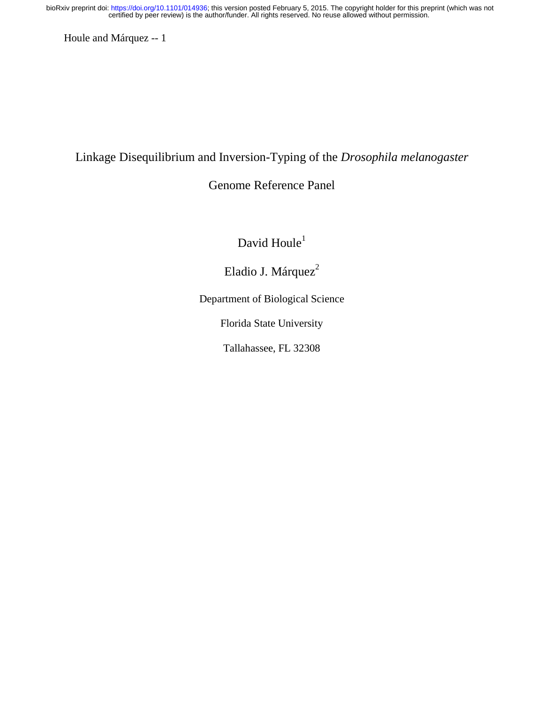Houle and Márquez -- 1

# Linkage Disequilibrium and Inversion-Typing of the *Drosophila melanogaster*

# Genome Reference Panel

David  $Houle<sup>1</sup>$ 

Eladio J. Márquez<sup>2</sup>

Department of Biological Science

Florida State University

Tallahassee, FL 32308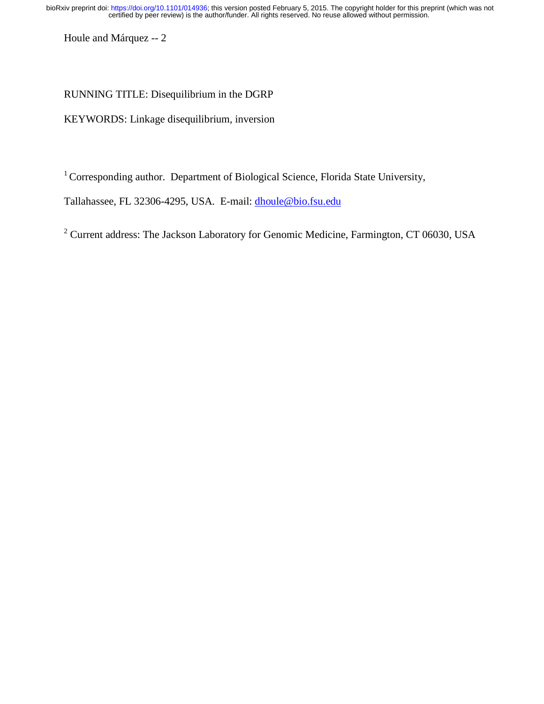Houle and Márquez -- 2

# RUNNING TITLE: Disequilibrium in the DGRP

KEYWORDS: Linkage disequilibrium*,* inversion

<sup>1</sup> Corresponding author. Department of Biological Science, Florida State University,

Tallahassee, FL 32306-4295, USA. E-mail: dhoule@bio.fsu.edu

 $2$  Current address: The Jackson Laboratory for Genomic Medicine, Farmington, CT 06030, USA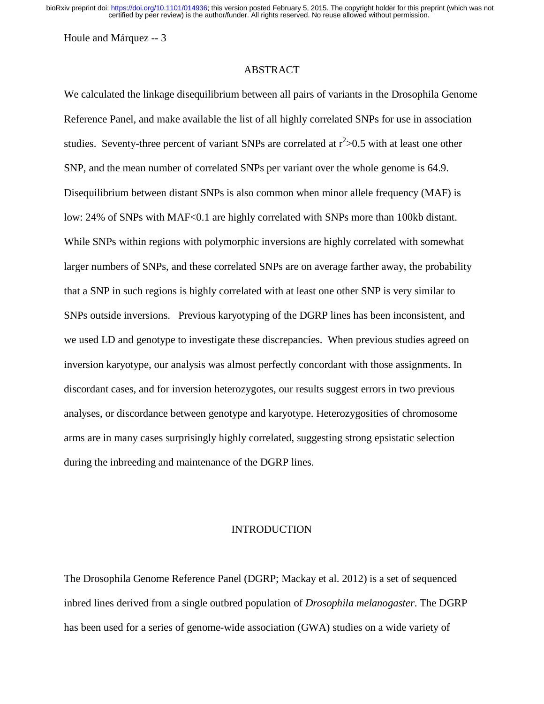Houle and Márquez -- 3

## ABSTRACT

We calculated the linkage disequilibrium between all pairs of variants in the Drosophila Genome Reference Panel, and make available the list of all highly correlated SNPs for use in association studies. Seventy-three percent of variant SNPs are correlated at  $r^2 > 0.5$  with at least one other SNP, and the mean number of correlated SNPs per variant over the whole genome is 64.9. Disequilibrium between distant SNPs is also common when minor allele frequency (MAF) is low: 24% of SNPs with MAF<0.1 are highly correlated with SNPs more than 100kb distant. While SNPs within regions with polymorphic inversions are highly correlated with somewhat larger numbers of SNPs, and these correlated SNPs are on average farther away, the probability that a SNP in such regions is highly correlated with at least one other SNP is very similar to SNPs outside inversions. Previous karyotyping of the DGRP lines has been inconsistent, and we used LD and genotype to investigate these discrepancies. When previous studies agreed on inversion karyotype, our analysis was almost perfectly concordant with those assignments. In discordant cases, and for inversion heterozygotes, our results suggest errors in two previous analyses, or discordance between genotype and karyotype. Heterozygosities of chromosome arms are in many cases surprisingly highly correlated, suggesting strong epsistatic selection during the inbreeding and maintenance of the DGRP lines.

#### **INTRODUCTION**

The Drosophila Genome Reference Panel (DGRP; Mackay et al. 2012) is a set of sequenced inbred lines derived from a single outbred population of *Drosophila melanogaster*. The DGRP has been used for a series of genome-wide association (GWA) studies on a wide variety of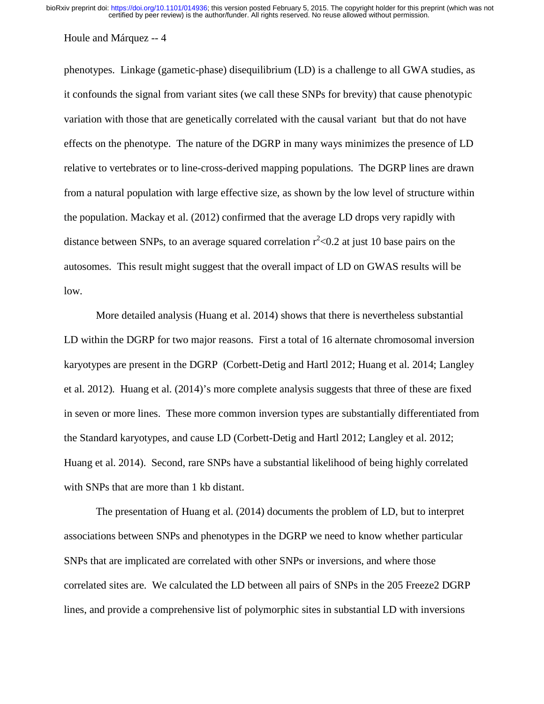#### Houle and Márquez -- 4

phenotypes. Linkage (gametic-phase) disequilibrium (LD) is a challenge to all GWA studies, as it confounds the signal from variant sites (we call these SNPs for brevity) that cause phenotypic variation with those that are genetically correlated with the causal variant but that do not have effects on the phenotype. The nature of the DGRP in many ways minimizes the presence of LD relative to vertebrates or to line-cross-derived mapping populations. The DGRP lines are drawn from a natural population with large effective size, as shown by the low level of structure within the population. Mackay et al. (2012) confirmed that the average LD drops very rapidly with distance between SNPs, to an average squared correlation  $r^2$  < 0.2 at just 10 base pairs on the autosomes. This result might suggest that the overall impact of LD on GWAS results will be low.

 More detailed analysis (Huang et al. 2014) shows that there is nevertheless substantial LD within the DGRP for two major reasons. First a total of 16 alternate chromosomal inversion karyotypes are present in the DGRP (Corbett-Detig and Hartl 2012; Huang et al. 2014; Langley et al. 2012). Huang et al. (2014)'s more complete analysis suggests that three of these are fixed in seven or more lines. These more common inversion types are substantially differentiated from the Standard karyotypes, and cause LD (Corbett-Detig and Hartl 2012; Langley et al. 2012; Huang et al. 2014). Second, rare SNPs have a substantial likelihood of being highly correlated with SNPs that are more than 1 kb distant.

 The presentation of Huang et al. (2014) documents the problem of LD, but to interpret associations between SNPs and phenotypes in the DGRP we need to know whether particular SNPs that are implicated are correlated with other SNPs or inversions, and where those correlated sites are. We calculated the LD between all pairs of SNPs in the 205 Freeze2 DGRP lines, and provide a comprehensive list of polymorphic sites in substantial LD with inversions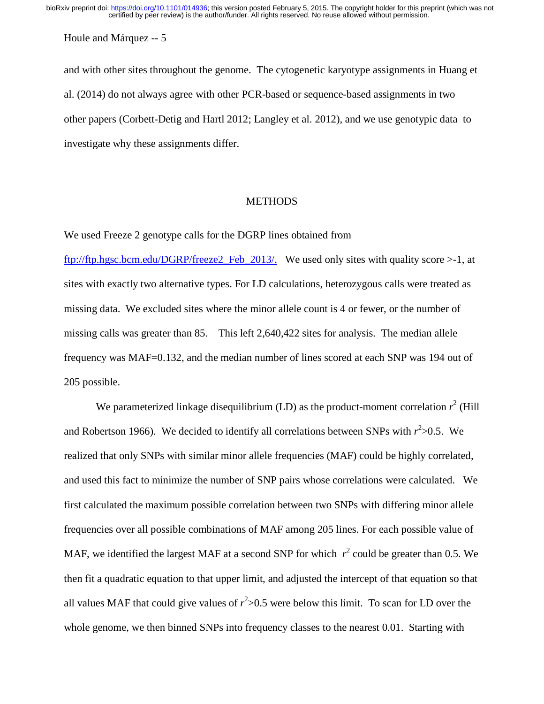Houle and Márquez -- 5

and with other sites throughout the genome. The cytogenetic karyotype assignments in Huang et al. (2014) do not always agree with other PCR-based or sequence-based assignments in two other papers (Corbett-Detig and Hartl 2012; Langley et al. 2012), and we use genotypic data to investigate why these assignments differ.

### **METHODS**

We used Freeze 2 genotype calls for the DGRP lines obtained from

ftp://ftp.hgsc.bcm.edu/DGRP/freeze2\_Feb\_2013/. We used only sites with quality score >-1, at sites with exactly two alternative types. For LD calculations, heterozygous calls were treated as missing data. We excluded sites where the minor allele count is 4 or fewer, or the number of missing calls was greater than 85. This left 2,640,422 sites for analysis. The median allele frequency was MAF=0.132, and the median number of lines scored at each SNP was 194 out of 205 possible.

We parameterized linkage disequilibrium (LD) as the product-moment correlation  $r^2$  (Hill and Robertson 1966). We decided to identify all correlations between SNPs with  $r^2 > 0.5$ . We realized that only SNPs with similar minor allele frequencies (MAF) could be highly correlated, and used this fact to minimize the number of SNP pairs whose correlations were calculated. We first calculated the maximum possible correlation between two SNPs with differing minor allele frequencies over all possible combinations of MAF among 205 lines. For each possible value of MAF, we identified the largest MAF at a second SNP for which  $r^2$  could be greater than 0.5. We then fit a quadratic equation to that upper limit, and adjusted the intercept of that equation so that all values MAF that could give values of  $r^2 > 0.5$  were below this limit. To scan for LD over the whole genome, we then binned SNPs into frequency classes to the nearest 0.01. Starting with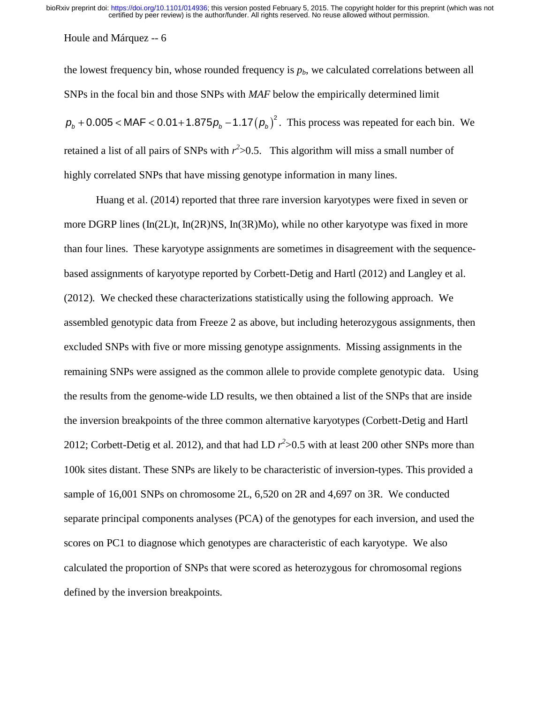Houle and Márquez -- 6

the lowest frequency bin, whose rounded frequency is  $p<sub>b</sub>$ , we calculated correlations between all SNPs in the focal bin and those SNPs with *MAF* below the empirically determined limit  $p_b + 0.005 < \text{MAF} < 0.01 + 1.875 p_b - 1.17 (p_b)^2$ . This process was repeated for each bin. We retained a list of all pairs of SNPs with  $r^2 > 0.5$ . This algorithm will miss a small number of highly correlated SNPs that have missing genotype information in many lines.

Huang et al. (2014) reported that three rare inversion karyotypes were fixed in seven or more DGRP lines (In(2L)t, In(2R)NS, In(3R)Mo), while no other karyotype was fixed in more than four lines. These karyotype assignments are sometimes in disagreement with the sequencebased assignments of karyotype reported by Corbett-Detig and Hartl (2012) and Langley et al. (2012). We checked these characterizations statistically using the following approach. We assembled genotypic data from Freeze 2 as above, but including heterozygous assignments, then excluded SNPs with five or more missing genotype assignments. Missing assignments in the remaining SNPs were assigned as the common allele to provide complete genotypic data. Using the results from the genome-wide LD results, we then obtained a list of the SNPs that are inside the inversion breakpoints of the three common alternative karyotypes (Corbett-Detig and Hartl 2012; Corbett-Detig et al. 2012), and that had LD  $r^2 > 0.5$  with at least 200 other SNPs more than 100k sites distant. These SNPs are likely to be characteristic of inversion-types. This provided a sample of 16,001 SNPs on chromosome 2L, 6,520 on 2R and 4,697 on 3R. We conducted separate principal components analyses (PCA) of the genotypes for each inversion, and used the scores on PC1 to diagnose which genotypes are characteristic of each karyotype. We also calculated the proportion of SNPs that were scored as heterozygous for chromosomal regions defined by the inversion breakpoints.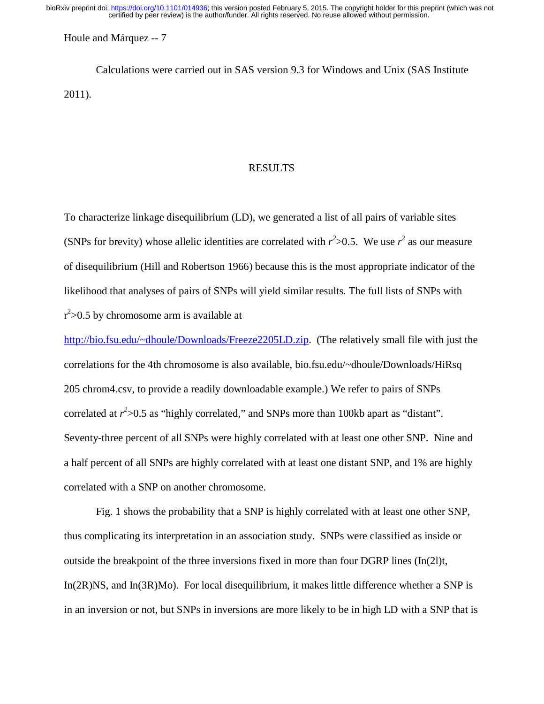Houle and Márquez -- 7

Calculations were carried out in SAS version 9.3 for Windows and Unix (SAS Institute 2011).

#### RESULTS

To characterize linkage disequilibrium (LD), we generated a list of all pairs of variable sites (SNPs for brevity) whose allelic identities are correlated with  $r^2 > 0.5$ . We use  $r^2$  as our measure of disequilibrium (Hill and Robertson 1966) because this is the most appropriate indicator of the likelihood that analyses of pairs of SNPs will yield similar results. The full lists of SNPs with  $r^2$  > 0.5 by chromosome arm is available at

http://bio.fsu.edu/~dhoule/Downloads/Freeze2205LD.zip. (The relatively small file with just the correlations for the 4th chromosome is also available, bio.fsu.edu/~dhoule/Downloads/HiRsq 205 chrom4.csv, to provide a readily downloadable example.) We refer to pairs of SNPs correlated at  $r^2$  > 0.5 as "highly correlated," and SNPs more than 100kb apart as "distant". Seventy-three percent of all SNPs were highly correlated with at least one other SNP. Nine and a half percent of all SNPs are highly correlated with at least one distant SNP, and 1% are highly correlated with a SNP on another chromosome.

Fig. 1 shows the probability that a SNP is highly correlated with at least one other SNP, thus complicating its interpretation in an association study. SNPs were classified as inside or outside the breakpoint of the three inversions fixed in more than four DGRP lines  $(In(2])$ t, In(2R)NS, and In(3R)Mo). For local disequilibrium, it makes little difference whether a SNP is in an inversion or not, but SNPs in inversions are more likely to be in high LD with a SNP that is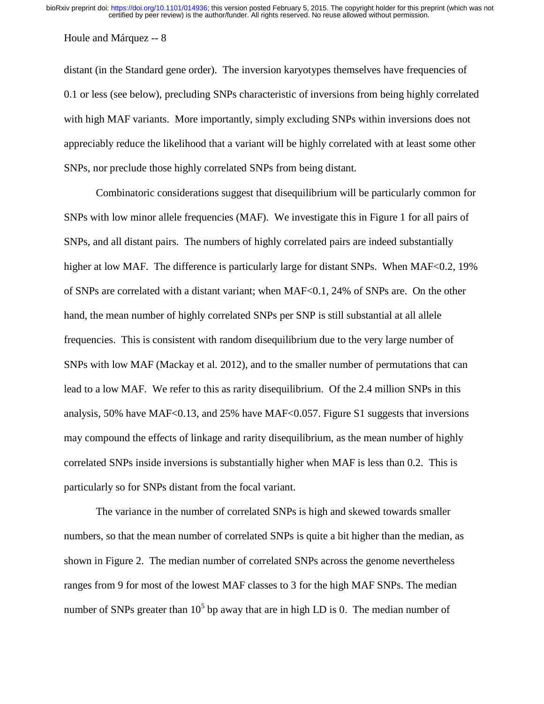#### Houle and Márquez -- 8

distant (in the Standard gene order). The inversion karyotypes themselves have frequencies of 0.1 or less (see below), precluding SNPs characteristic of inversions from being highly correlated with high MAF variants. More importantly, simply excluding SNPs within inversions does not appreciably reduce the likelihood that a variant will be highly correlated with at least some other SNPs, nor preclude those highly correlated SNPs from being distant.

Combinatoric considerations suggest that disequilibrium will be particularly common for SNPs with low minor allele frequencies (MAF). We investigate this in Figure 1 for all pairs of SNPs, and all distant pairs. The numbers of highly correlated pairs are indeed substantially higher at low MAF. The difference is particularly large for distant SNPs. When MAF<0.2, 19% of SNPs are correlated with a distant variant; when MAF<0.1, 24% of SNPs are. On the other hand, the mean number of highly correlated SNPs per SNP is still substantial at all allele frequencies. This is consistent with random disequilibrium due to the very large number of SNPs with low MAF (Mackay et al. 2012), and to the smaller number of permutations that can lead to a low MAF. We refer to this as rarity disequilibrium. Of the 2.4 million SNPs in this analysis, 50% have MAF<0.13, and 25% have MAF<0.057. Figure S1 suggests that inversions may compound the effects of linkage and rarity disequilibrium, as the mean number of highly correlated SNPs inside inversions is substantially higher when MAF is less than 0.2. This is particularly so for SNPs distant from the focal variant.

The variance in the number of correlated SNPs is high and skewed towards smaller numbers, so that the mean number of correlated SNPs is quite a bit higher than the median, as shown in Figure 2. The median number of correlated SNPs across the genome nevertheless ranges from 9 for most of the lowest MAF classes to 3 for the high MAF SNPs. The median number of SNPs greater than  $10^5$  bp away that are in high LD is 0. The median number of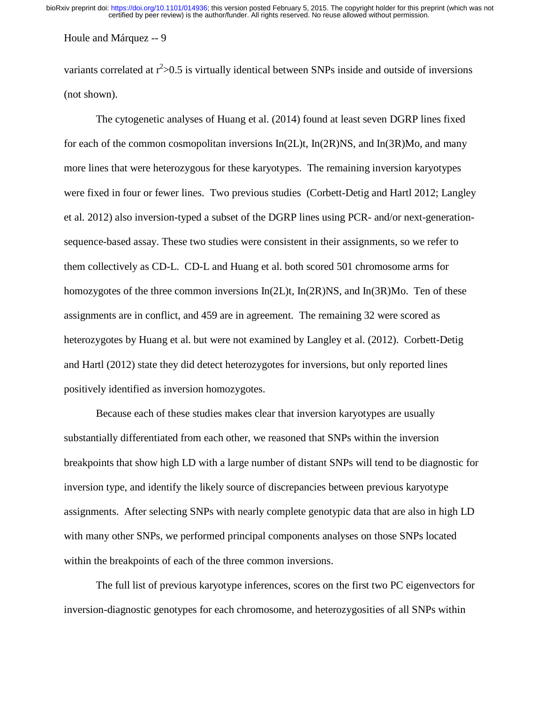Houle and Márquez -- 9

variants correlated at  $r^2 > 0.5$  is virtually identical between SNPs inside and outside of inversions (not shown).

The cytogenetic analyses of Huang et al. (2014) found at least seven DGRP lines fixed for each of the common cosmopolitan inversions  $In(2L)t$ ,  $In(2R)NS$ , and  $In(3R)Mo$ , and many more lines that were heterozygous for these karyotypes. The remaining inversion karyotypes were fixed in four or fewer lines. Two previous studies (Corbett-Detig and Hartl 2012; Langley et al. 2012) also inversion-typed a subset of the DGRP lines using PCR- and/or next-generationsequence-based assay. These two studies were consistent in their assignments, so we refer to them collectively as CD-L. CD-L and Huang et al. both scored 501 chromosome arms for homozygotes of the three common inversions In(2L)t, In(2R)NS, and In(3R)Mo. Ten of these assignments are in conflict, and 459 are in agreement. The remaining 32 were scored as heterozygotes by Huang et al. but were not examined by Langley et al. (2012). Corbett-Detig and Hartl (2012) state they did detect heterozygotes for inversions, but only reported lines positively identified as inversion homozygotes.

Because each of these studies makes clear that inversion karyotypes are usually substantially differentiated from each other, we reasoned that SNPs within the inversion breakpoints that show high LD with a large number of distant SNPs will tend to be diagnostic for inversion type, and identify the likely source of discrepancies between previous karyotype assignments. After selecting SNPs with nearly complete genotypic data that are also in high LD with many other SNPs, we performed principal components analyses on those SNPs located within the breakpoints of each of the three common inversions.

The full list of previous karyotype inferences, scores on the first two PC eigenvectors for inversion-diagnostic genotypes for each chromosome, and heterozygosities of all SNPs within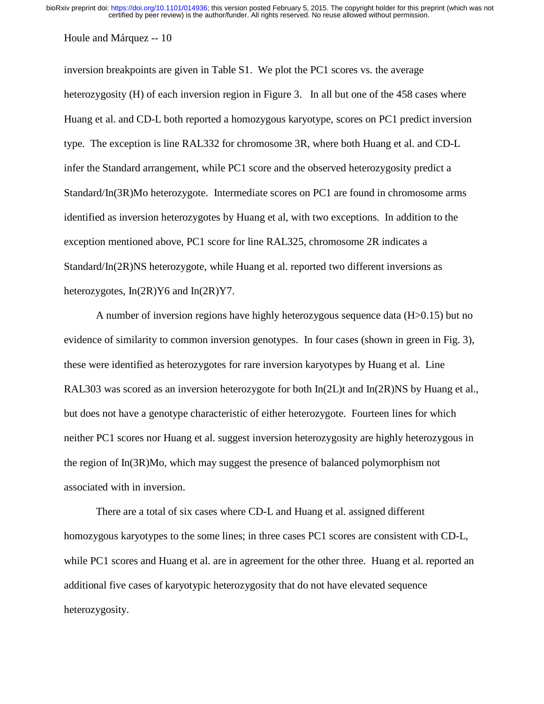#### Houle and Márquez -- 10

inversion breakpoints are given in Table S1. We plot the PC1 scores vs. the average heterozygosity (H) of each inversion region in Figure 3. In all but one of the 458 cases where Huang et al. and CD-L both reported a homozygous karyotype, scores on PC1 predict inversion type. The exception is line RAL332 for chromosome 3R, where both Huang et al. and CD-L infer the Standard arrangement, while PC1 score and the observed heterozygosity predict a Standard/In(3R)Mo heterozygote. Intermediate scores on PC1 are found in chromosome arms identified as inversion heterozygotes by Huang et al, with two exceptions. In addition to the exception mentioned above, PC1 score for line RAL325, chromosome 2R indicates a Standard/In(2R)NS heterozygote, while Huang et al. reported two different inversions as heterozygotes, In(2R)Y6 and In(2R)Y7.

A number of inversion regions have highly heterozygous sequence data (H>0.15) but no evidence of similarity to common inversion genotypes. In four cases (shown in green in Fig. 3), these were identified as heterozygotes for rare inversion karyotypes by Huang et al. Line RAL303 was scored as an inversion heterozygote for both  $In(2L)$ t and  $In(2R)$ NS by Huang et al., but does not have a genotype characteristic of either heterozygote. Fourteen lines for which neither PC1 scores nor Huang et al. suggest inversion heterozygosity are highly heterozygous in the region of In(3R)Mo, which may suggest the presence of balanced polymorphism not associated with in inversion.

There are a total of six cases where CD-L and Huang et al. assigned different homozygous karyotypes to the some lines; in three cases PC1 scores are consistent with CD-L, while PC1 scores and Huang et al. are in agreement for the other three. Huang et al. reported an additional five cases of karyotypic heterozygosity that do not have elevated sequence heterozygosity.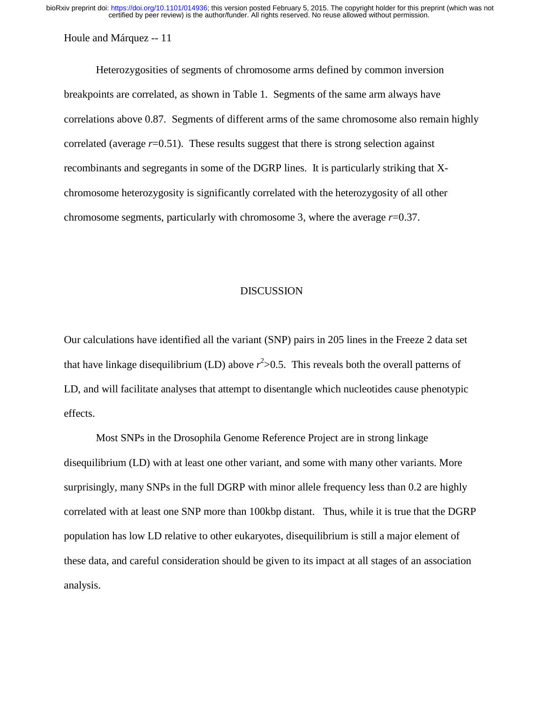Houle and Márquez -- 11

Heterozygosities of segments of chromosome arms defined by common inversion breakpoints are correlated, as shown in Table 1. Segments of the same arm always have correlations above 0.87. Segments of different arms of the same chromosome also remain highly correlated (average *r*=0.51). These results suggest that there is strong selection against recombinants and segregants in some of the DGRP lines. It is particularly striking that Xchromosome heterozygosity is significantly correlated with the heterozygosity of all other chromosome segments, particularly with chromosome 3, where the average *r*=0.37.

## DISCUSSION

Our calculations have identified all the variant (SNP) pairs in 205 lines in the Freeze 2 data set that have linkage disequilibrium (LD) above *r* 2 >0.5. This reveals both the overall patterns of LD, and will facilitate analyses that attempt to disentangle which nucleotides cause phenotypic effects.

Most SNPs in the Drosophila Genome Reference Project are in strong linkage disequilibrium (LD) with at least one other variant, and some with many other variants. More surprisingly, many SNPs in the full DGRP with minor allele frequency less than 0.2 are highly correlated with at least one SNP more than 100kbp distant. Thus, while it is true that the DGRP population has low LD relative to other eukaryotes, disequilibrium is still a major element of these data, and careful consideration should be given to its impact at all stages of an association analysis.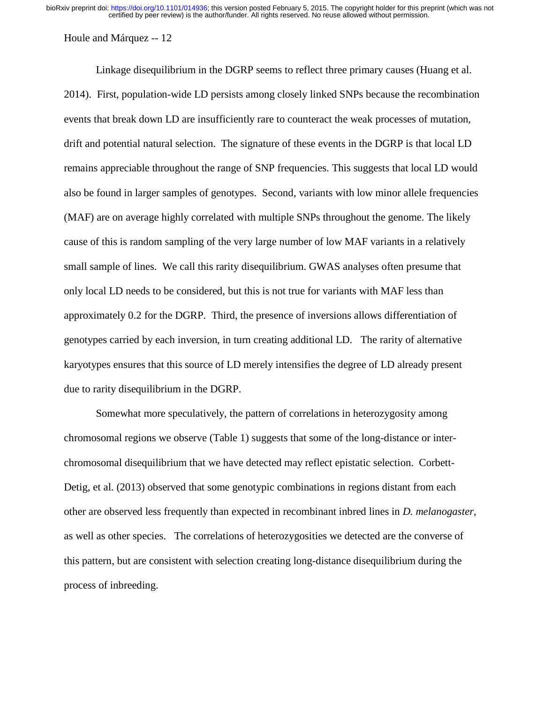Houle and Márquez -- 12

 Linkage disequilibrium in the DGRP seems to reflect three primary causes (Huang et al. 2014). First, population-wide LD persists among closely linked SNPs because the recombination events that break down LD are insufficiently rare to counteract the weak processes of mutation, drift and potential natural selection. The signature of these events in the DGRP is that local LD remains appreciable throughout the range of SNP frequencies. This suggests that local LD would also be found in larger samples of genotypes. Second, variants with low minor allele frequencies (MAF) are on average highly correlated with multiple SNPs throughout the genome. The likely cause of this is random sampling of the very large number of low MAF variants in a relatively small sample of lines. We call this rarity disequilibrium. GWAS analyses often presume that only local LD needs to be considered, but this is not true for variants with MAF less than approximately 0.2 for the DGRP. Third, the presence of inversions allows differentiation of genotypes carried by each inversion, in turn creating additional LD. The rarity of alternative karyotypes ensures that this source of LD merely intensifies the degree of LD already present due to rarity disequilibrium in the DGRP.

 Somewhat more speculatively, the pattern of correlations in heterozygosity among chromosomal regions we observe (Table 1) suggests that some of the long-distance or interchromosomal disequilibrium that we have detected may reflect epistatic selection. Corbett-Detig, et al. (2013) observed that some genotypic combinations in regions distant from each other are observed less frequently than expected in recombinant inbred lines in *D. melanogaster*, as well as other species. The correlations of heterozygosities we detected are the converse of this pattern, but are consistent with selection creating long-distance disequilibrium during the process of inbreeding.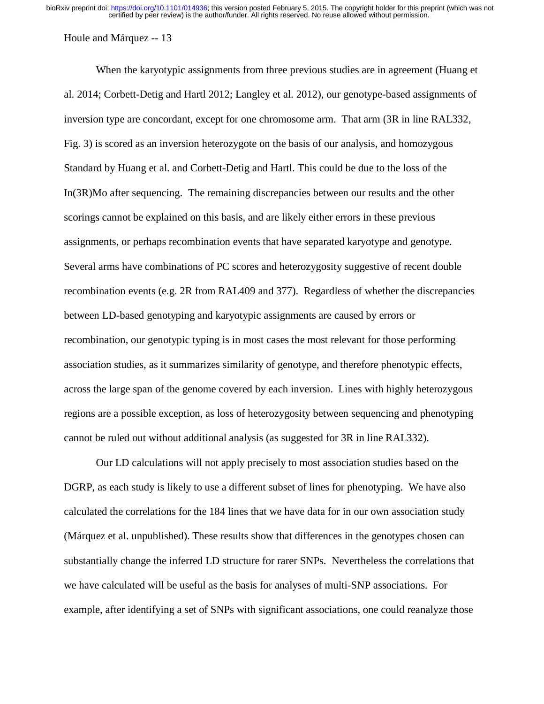Houle and Márquez -- 13

 When the karyotypic assignments from three previous studies are in agreement (Huang et al. 2014; Corbett-Detig and Hartl 2012; Langley et al. 2012), our genotype-based assignments of inversion type are concordant, except for one chromosome arm. That arm (3R in line RAL332, Fig. 3) is scored as an inversion heterozygote on the basis of our analysis, and homozygous Standard by Huang et al. and Corbett-Detig and Hartl. This could be due to the loss of the In(3R)Mo after sequencing. The remaining discrepancies between our results and the other scorings cannot be explained on this basis, and are likely either errors in these previous assignments, or perhaps recombination events that have separated karyotype and genotype. Several arms have combinations of PC scores and heterozygosity suggestive of recent double recombination events (e.g. 2R from RAL409 and 377). Regardless of whether the discrepancies between LD-based genotyping and karyotypic assignments are caused by errors or recombination, our genotypic typing is in most cases the most relevant for those performing association studies, as it summarizes similarity of genotype, and therefore phenotypic effects, across the large span of the genome covered by each inversion. Lines with highly heterozygous regions are a possible exception, as loss of heterozygosity between sequencing and phenotyping cannot be ruled out without additional analysis (as suggested for 3R in line RAL332).

Our LD calculations will not apply precisely to most association studies based on the DGRP, as each study is likely to use a different subset of lines for phenotyping. We have also calculated the correlations for the 184 lines that we have data for in our own association study (Márquez et al. unpublished). These results show that differences in the genotypes chosen can substantially change the inferred LD structure for rarer SNPs. Nevertheless the correlations that we have calculated will be useful as the basis for analyses of multi-SNP associations. For example, after identifying a set of SNPs with significant associations, one could reanalyze those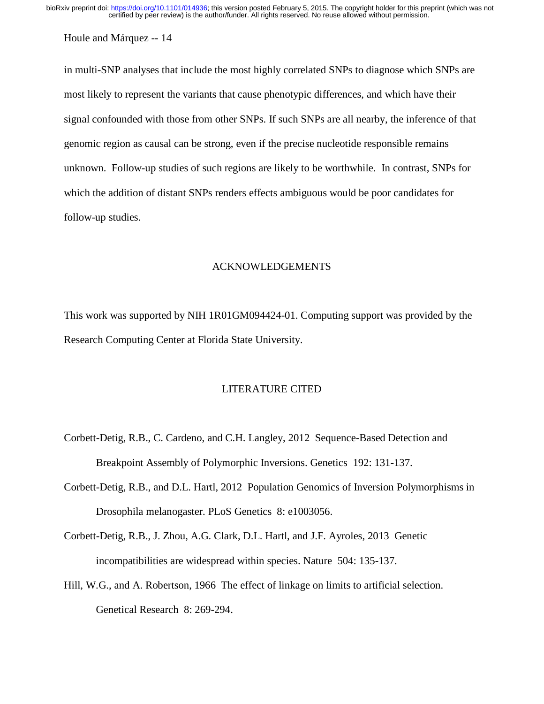Houle and Márquez -- 14

in multi-SNP analyses that include the most highly correlated SNPs to diagnose which SNPs are most likely to represent the variants that cause phenotypic differences, and which have their signal confounded with those from other SNPs. If such SNPs are all nearby, the inference of that genomic region as causal can be strong, even if the precise nucleotide responsible remains unknown. Follow-up studies of such regions are likely to be worthwhile. In contrast, SNPs for which the addition of distant SNPs renders effects ambiguous would be poor candidates for follow-up studies.

## ACKNOWLEDGEMENTS

This work was supported by NIH 1R01GM094424-01. Computing support was provided by the Research Computing Center at Florida State University.

### LITERATURE CITED

- Corbett-Detig, R.B., C. Cardeno, and C.H. Langley, 2012 Sequence-Based Detection and Breakpoint Assembly of Polymorphic Inversions. Genetics 192: 131-137.
- Corbett-Detig, R.B., and D.L. Hartl, 2012 Population Genomics of Inversion Polymorphisms in Drosophila melanogaster. PLoS Genetics 8: e1003056.
- Corbett-Detig, R.B., J. Zhou, A.G. Clark, D.L. Hartl, and J.F. Ayroles, 2013 Genetic incompatibilities are widespread within species. Nature 504: 135-137.
- Hill, W.G., and A. Robertson, 1966 The effect of linkage on limits to artificial selection. Genetical Research 8: 269-294.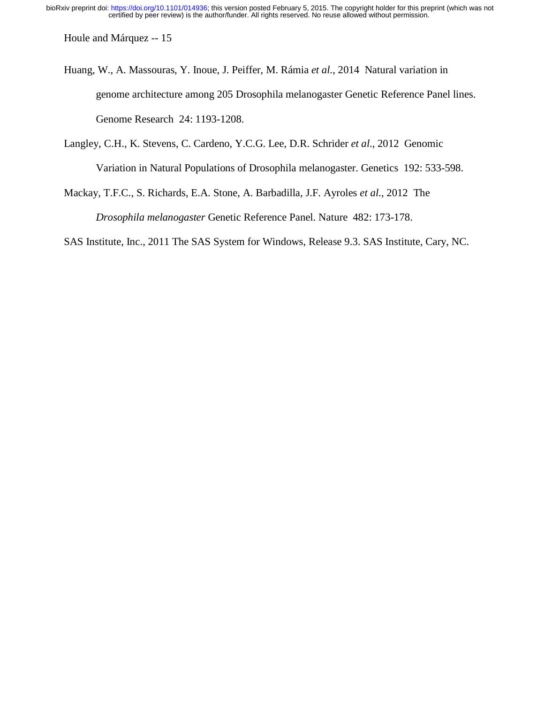Houle and Márquez -- 15

Huang, W., A. Massouras, Y. Inoue, J. Peiffer, M. Rámia *et al.*, 2014 Natural variation in genome architecture among 205 Drosophila melanogaster Genetic Reference Panel lines. Genome Research 24: 1193-1208.

Langley, C.H., K. Stevens, C. Cardeno, Y.C.G. Lee, D.R. Schrider *et al.*, 2012 Genomic Variation in Natural Populations of Drosophila melanogaster. Genetics 192: 533-598.

Mackay, T.F.C., S. Richards, E.A. Stone, A. Barbadilla, J.F. Ayroles *et al.*, 2012 The *Drosophila melanogaster* Genetic Reference Panel. Nature 482: 173-178.

SAS Institute, Inc., 2011 The SAS System for Windows, Release 9.3. SAS Institute, Cary, NC.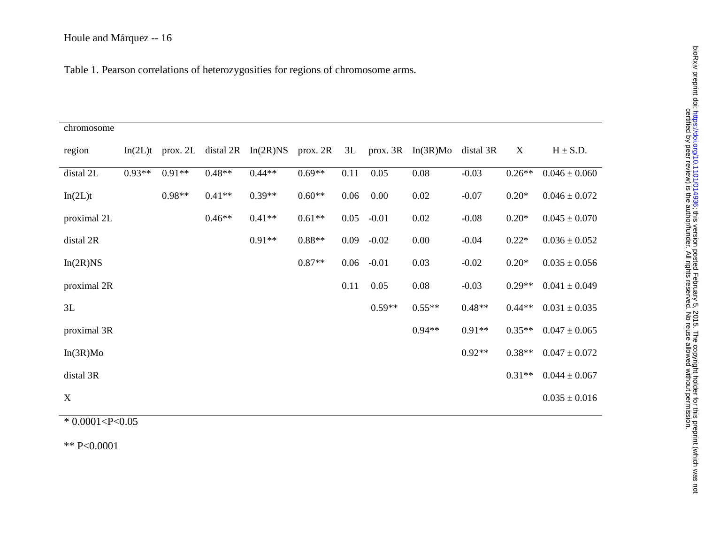Table 1. Pearson correlations of heterozygosities for regions of chromosome arms.

| chromosome  |          |          |          |                                  |          |      |          |                         |           |          |                   |
|-------------|----------|----------|----------|----------------------------------|----------|------|----------|-------------------------|-----------|----------|-------------------|
| region      | In(2L)t  |          |          | prox. 2L distal $2R$ In $(2R)NS$ | prox. 2R | 3L   |          | prox. $3R$ In $(3R)$ Mo | distal 3R | X        | $H \pm S.D.$      |
| distal 2L   | $0.93**$ | $0.91**$ | $0.48**$ | $0.44**$                         | $0.69**$ | 0.11 | 0.05     | 0.08                    | $-0.03$   | $0.26**$ | $0.046 \pm 0.060$ |
| In(2L)t     |          | $0.98**$ | $0.41**$ | $0.39**$                         | $0.60**$ | 0.06 | 0.00     | 0.02                    | $-0.07$   | $0.20*$  | $0.046 \pm 0.072$ |
| proximal 2L |          |          | $0.46**$ | $0.41**$                         | $0.61**$ | 0.05 | $-0.01$  | 0.02                    | $-0.08$   | $0.20*$  | $0.045 \pm 0.070$ |
| distal 2R   |          |          |          | $0.91**$                         | $0.88**$ | 0.09 | $-0.02$  | 0.00                    | $-0.04$   | $0.22*$  | $0.036 \pm 0.052$ |
| In(2R)NS    |          |          |          |                                  | $0.87**$ | 0.06 | $-0.01$  | 0.03                    | $-0.02$   | $0.20*$  | $0.035 \pm 0.056$ |
| proximal 2R |          |          |          |                                  |          | 0.11 | 0.05     | 0.08                    | $-0.03$   | $0.29**$ | $0.041 \pm 0.049$ |
| 3L          |          |          |          |                                  |          |      | $0.59**$ | $0.55**$                | $0.48**$  | $0.44**$ | $0.031 \pm 0.035$ |
| proximal 3R |          |          |          |                                  |          |      |          | $0.94**$                | $0.91**$  | $0.35**$ | $0.047 \pm 0.065$ |
| In(3R)Mo    |          |          |          |                                  |          |      |          |                         | $0.92**$  | $0.38**$ | $0.047 \pm 0.072$ |
| distal 3R   |          |          |          |                                  |          |      |          |                         |           | $0.31**$ | $0.044 \pm 0.067$ |
| X           |          |          |          |                                  |          |      |          |                         |           |          | $0.035 \pm 0.016$ |
|             |          |          |          |                                  |          |      |          |                         |           |          |                   |

\* 0.0001<P<0.05

\*\* P<0.0001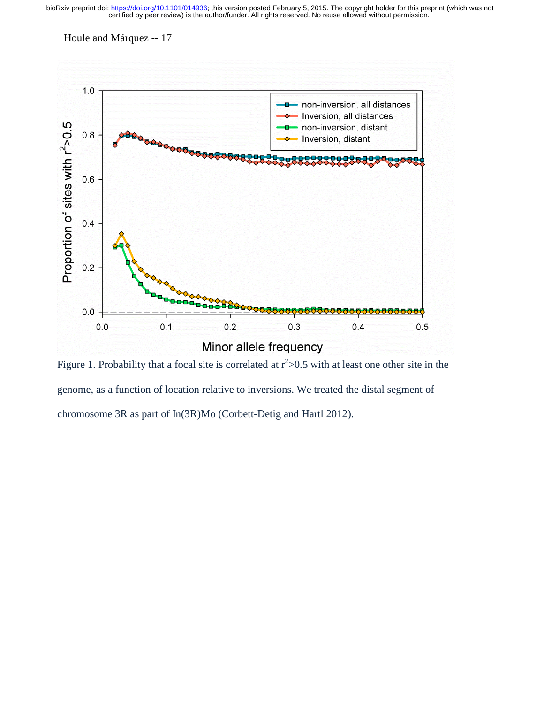Houle and Márquez -- 17



Figure 1. Probability that a focal site is correlated at  $r^2 > 0.5$  with at least one other site in the genome, as a function of location relative to inversions. We treated the distal segment of chromosome 3R as part of In(3R)Mo (Corbett-Detig and Hartl 2012).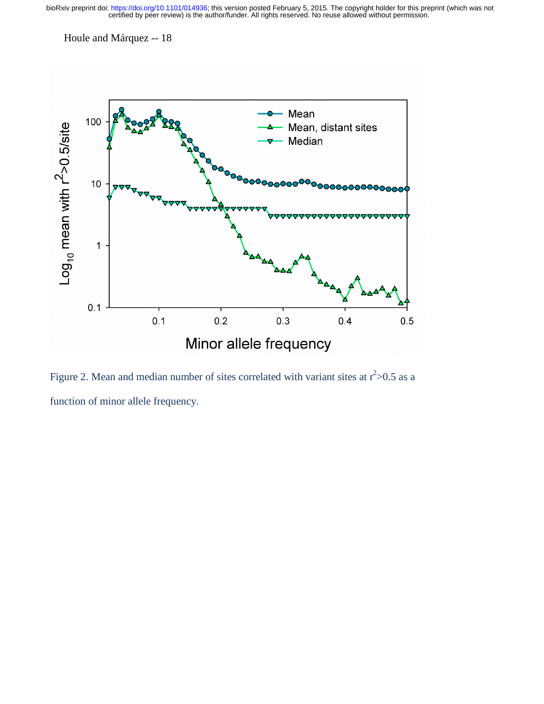Houle and Márquez -- 18



Figure 2. Mean and median number of sites correlated with variant sites at  $r^2 > 0.5$  as a function of minor allele frequency.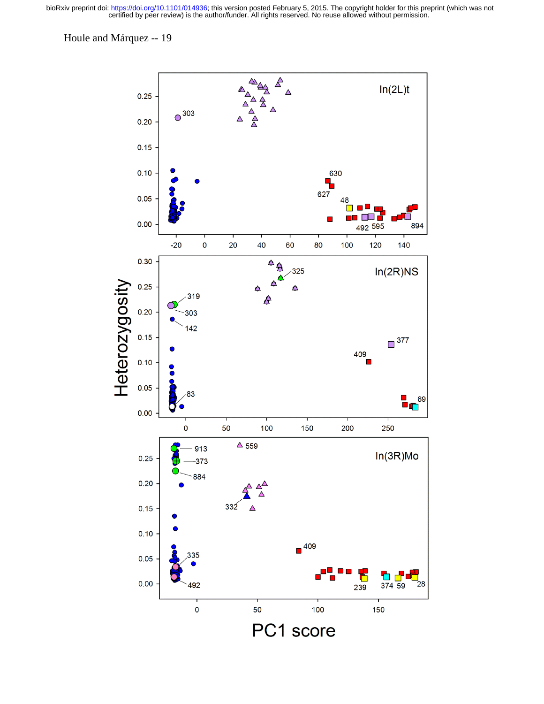Houle and Márquez -- 19